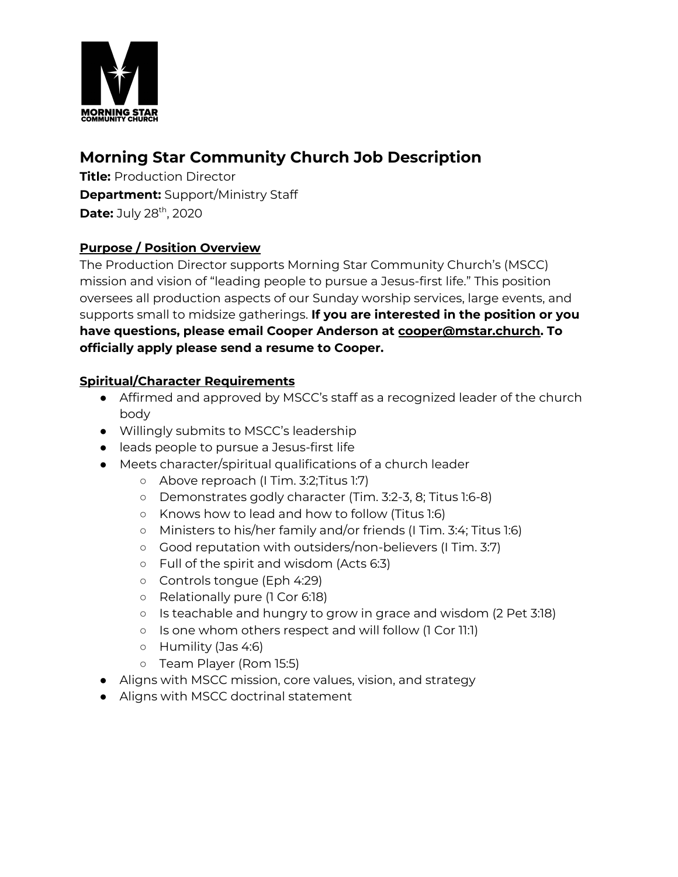

# **Morning Star Community Church Job Description**

**Title:** Production Director **Department:** Support/Ministry Staff **Date:** July 28<sup>th</sup>, 2020

# **Purpose / Position Overview**

The Production Director supports Morning Star Community Church's (MSCC) mission and vision of "leading people to pursue a Jesus-first life." This position oversees all production aspects of our Sunday worship services, large events, and supports small to midsize gatherings. **If you are interested in the position or you have questions, please email Cooper Anderson at cooper@mstar.church. To officially apply please send a resume to Cooper.**

# **Spiritual/Character Requirements**

- Affirmed and approved by MSCC's staff as a recognized leader of the church body
- Willingly submits to MSCC's leadership
- leads people to pursue a Jesus-first life
- Meets character/spiritual qualifications of a church leader
	- Above reproach (I Tim. 3:2;Titus 1:7)
	- Demonstrates godly character (Tim. 3:2-3, 8; Titus 1:6-8)
	- Knows how to lead and how to follow (Titus 1:6)
	- Ministers to his/her family and/or friends (I Tim. 3:4; Titus 1:6)
	- Good reputation with outsiders/non-believers (I Tim. 3:7)
	- Full of the spirit and wisdom (Acts 6:3)
	- Controls tongue (Eph 4:29)
	- Relationally pure (1 Cor 6:18)
	- Is teachable and hungry to grow in grace and wisdom (2 Pet 3:18)
	- Is one whom others respect and will follow (1 Cor 11:1)
	- Humility (Jas 4:6)
	- Team Player (Rom 15:5)
- Aligns with MSCC mission, core values, vision, and strategy
- Aligns with MSCC doctrinal statement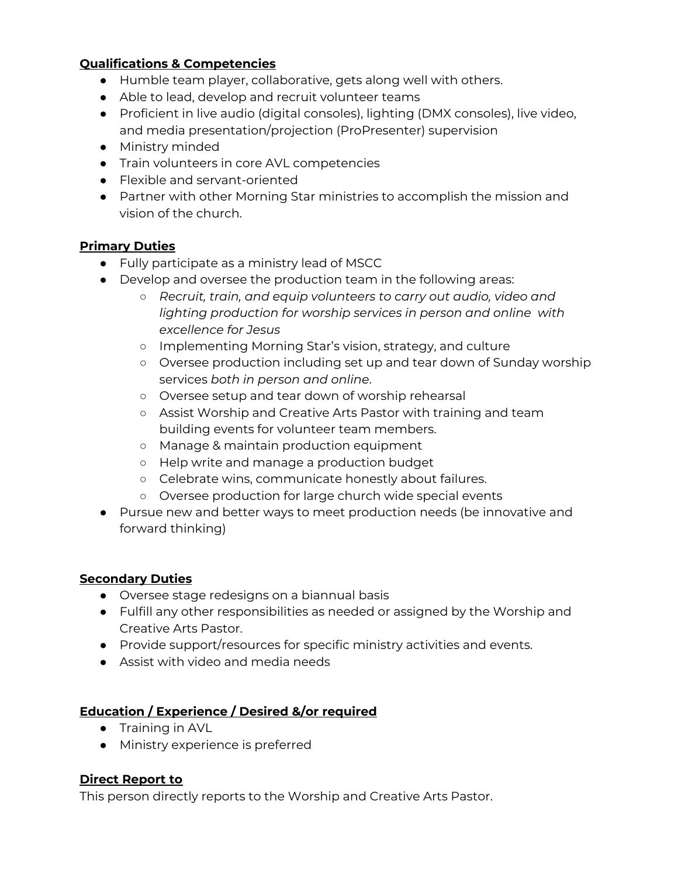### **Qualifications & Competencies**

- Humble team player, collaborative, gets along well with others.
- Able to lead, develop and recruit volunteer teams
- Proficient in live audio (digital consoles), lighting (DMX consoles), live video, and media presentation/projection (ProPresenter) supervision
- Ministry minded
- Train volunteers in core AVL competencies
- Flexible and servant-oriented
- Partner with other Morning Star ministries to accomplish the mission and vision of the church.

#### **Primary Duties**

- Fully participate as a ministry lead of MSCC
- Develop and oversee the production team in the following areas:
	- *○ Recruit, train, and equip volunteers to carry out audio, video and lighting production for worship services in person and online with excellence for Jesus*
	- Implementing Morning Star's vision, strategy, and culture
	- Oversee production including set up and tear down of Sunday worship services *both in person and online*.
	- Oversee setup and tear down of worship rehearsal
	- Assist Worship and Creative Arts Pastor with training and team building events for volunteer team members.
	- Manage & maintain production equipment
	- Help write and manage a production budget
	- Celebrate wins, communicate honestly about failures.
	- Oversee production for large church wide special events
- Pursue new and better ways to meet production needs (be innovative and forward thinking)

#### **Secondary Duties**

- Oversee stage redesigns on a biannual basis
- Fulfill any other responsibilities as needed or assigned by the Worship and Creative Arts Pastor.
- Provide support/resources for specific ministry activities and events.
- Assist with video and media needs

# **Education / Experience / Desired &/or required**

- Training in AVL
- Ministry experience is preferred

# **Direct Report to**

This person directly reports to the Worship and Creative Arts Pastor.